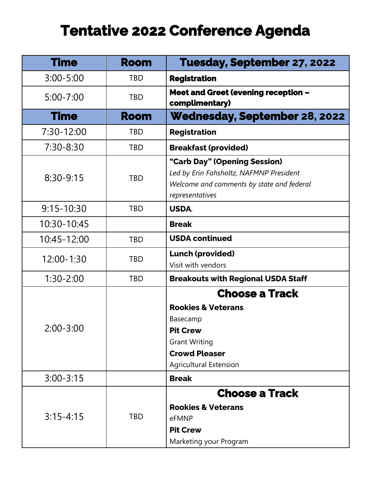## **Tentative 2022 Conference Agenda**

| <b>Time</b>    | <b>Room</b> | Tuesday, September 27, 2022                                                                                                             |
|----------------|-------------|-----------------------------------------------------------------------------------------------------------------------------------------|
| $3:00 - 5:00$  | <b>TBD</b>  | <b>Registration</b>                                                                                                                     |
| $5:00 - 7:00$  | <b>TBD</b>  | <b>Meet and Greet (evening reception -</b><br>complimentary)                                                                            |
| <b>Time</b>    | <b>Room</b> | <b>Wednesday, September 28, 2022</b>                                                                                                    |
| $7:30-12:00$   | <b>TBD</b>  | <b>Registration</b>                                                                                                                     |
| $7:30 - 8:30$  | <b>TBD</b>  | <b>Breakfast (provided)</b>                                                                                                             |
| $8:30-9:15$    | <b>TBD</b>  | "Carb Day" (Opening Session)<br>Led by Erin Fahsholtz, NAFMNP President<br>Welcome and comments by state and federal<br>representatives |
| $9:15 - 10:30$ | <b>TBD</b>  | <b>USDA.</b>                                                                                                                            |
| 10:30-10:45    |             | <b>Break</b>                                                                                                                            |
| 10:45-12:00    | <b>TBD</b>  | <b>USDA continued</b>                                                                                                                   |
| 12:00-1:30     | <b>TBD</b>  | <b>Lunch (provided)</b><br>Visit with vendors                                                                                           |
| $1:30 - 2:00$  | <b>TBD</b>  | <b>Breakouts with Regional USDA Staff</b>                                                                                               |
| $2:00 - 3:00$  |             | <b>Choose a Track</b>                                                                                                                   |
|                |             | <b>Rookies &amp; Veterans</b>                                                                                                           |
|                |             | Basecamp                                                                                                                                |
|                |             | <b>Pit Crew</b>                                                                                                                         |
|                |             | <b>Grant Writing</b>                                                                                                                    |
|                |             | <b>Crowd Pleaser</b>                                                                                                                    |
|                |             | <b>Agricultural Extension</b>                                                                                                           |
| $3:00 - 3:15$  |             | <b>Break</b>                                                                                                                            |
| $3:15 - 4:15$  |             | <b>Choose a Track</b>                                                                                                                   |
|                |             | <b>Rookies &amp; Veterans</b>                                                                                                           |
|                | <b>TBD</b>  | eFMNP                                                                                                                                   |
|                |             | <b>Pit Crew</b>                                                                                                                         |
|                |             | Marketing your Program                                                                                                                  |